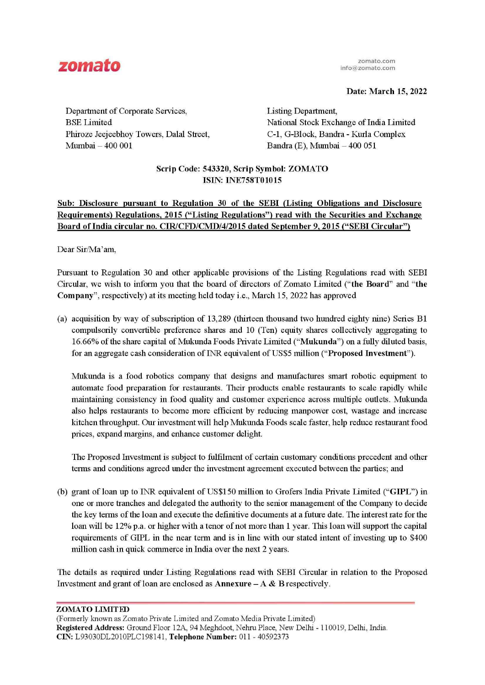

zomato.com info@zomato.com

**Date: March 15, 2022** 

Department of Corporate Services, BSE Limited Phiroze Jeejeebhoy Towers, Dalal Street, Mumbai - 400 001

Listing Department, National Stock Exchange of India Limited C-1, G-Block, Bandra - Kurla Complex Bandra (E), Mumbai - 400 051

# **Scrip Code: 543320, Scrip Symbol: ZOMATO ISIN: INE758T01015**

# **Sub: Disclosure pursuant to Regulation 30 of the SEBI (Listing Obligations and Disclosure Requirements) Regulations, 2015 ("Listing Regulations") read with the Securities and Exchange Board oflndia circular no. CIR/CFD/CMD/4/2015 dated September** 9, **2015 ("SEBI Circular")**

Dear Sir/Ma'am,

Pursuant to Regulation 30 and other applicable provisions of the Listing Regulations read with SEBI Circular, we wish to inform you that the board of directors of Zomato Limited **("the Board"** and **"the**  Company", respectively) at its meeting held today i.e., March 15, 2022 has approved

(a) acquisition by way of subscription of  $13,289$  (thirteen thousand two hundred eighty nine) Series  $B1$ compulsorily convertible preference shares and 10 (Ten) equity shares collectively aggregating to 16.66% of the share capital ofMukunda Foods Private Limited **("Mukunda")** on a fully diluted basis, for an aggregate cash consideration of INR equivalent of US\$5 million ("Proposed Investment").

Mukunda is a food robotics company that designs and manufactures smart robotic equipment to automate food preparation for restaurants. Their products enable restaurants to scale rapidly while maintaining consistency in food quality and customer experience across multiple outlets. Mukunda also helps restaurants to become more efficient by reducing manpower cost, wastage and increase kitchen throughput. Our investment will help Mukunda Foods scale faster, help reduce restaurant food prices, expand margins, and enhance customer delight.

The Proposed Investment is subject to fulfilment of certain customary conditions precedent and other terms and conditions agreed under the investment agreement executed between the parties; and

(b) grant ofloan up to INR equivalent of US\$150 million to Grofers India Private Limited ("GIPL") in one or more tranches and delegated the authority to the senior management of the Company to decide the key terms of the loan and execute the definitive documents at a future date. The interest rate for the loan will be 12% p.a. or higher with a tenor of not more than 1 year. This loan will support the capital requirements of GIPL in the near term and is in line with our stated intent of investing up to \$400 million cash in quick commerce in India over the next 2 years.

The details as required under Listing Regulations read with SEBI Circular in relation to the Proposed Investment and grant of loan are enclosed as  $\bf{Annexure} - \bf{A} \& \bf{B}$  respectively.

## **ZOMA TO LIMITED**

(Formerly known as Zomato Private Limited and Zomato Media Private Limited) **Registered Address:** Ground Floor 12A, 94 Meghdoot, Nehru Place, New Delhi - 110019, Delhi, India. **CIN:** L93030DL2010PLC198141 , **Telephone Number:** 011 - 40592373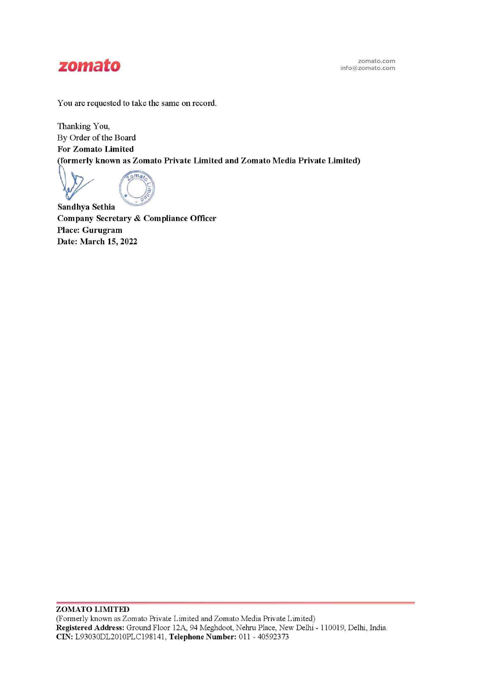

You are requested to take the same on record.

Thanking You, By Order of the Board **For Zomato Limited known as Zomato Private Limited and Zomato Media Private Limited)** 

**O**<br>Construction **o m**a<sub>1</sub> C 3  $60/$ 

**Sandhya Sethia Company Secretary** & **Compliance Officer Place: Gurugram Date: March 15, 2022**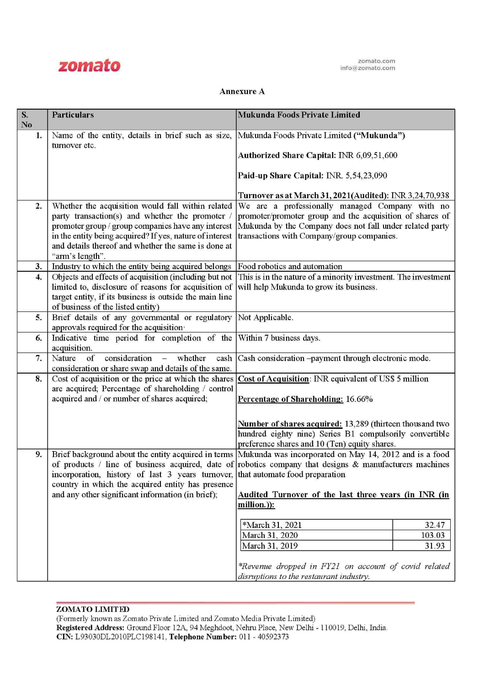

### Annexure A

| S.                     | <b>Particulars</b>                                                                                           | Mukunda Foods Private Limited                                                                                       |
|------------------------|--------------------------------------------------------------------------------------------------------------|---------------------------------------------------------------------------------------------------------------------|
| $\mathbf{N}\mathbf{o}$ |                                                                                                              |                                                                                                                     |
| 1.                     | Name of the entity, details in brief such as size,                                                           | Mukunda Foods Private Limited ("Mukunda")                                                                           |
|                        | turnover etc.                                                                                                |                                                                                                                     |
|                        |                                                                                                              | Authorized Share Capital: INR 6,09,51,600                                                                           |
|                        |                                                                                                              | Paid-up Share Capital: INR. 5,54,23,090                                                                             |
|                        |                                                                                                              |                                                                                                                     |
|                        |                                                                                                              | Turnover as at March 31, 2021(Audited): INR 3,24,70,938                                                             |
| $\overline{2}$ .       | Whether the acquisition would fall within related                                                            | We are a professionally managed Company with no                                                                     |
|                        | party transaction(s) and whether the promoter                                                                | promoter/promoter group and the acquisition of shares of                                                            |
|                        | promoter group / group companies have any interest                                                           | Mukunda by the Company does not fall under related party                                                            |
|                        | in the entity being acquired? If yes, nature of interest                                                     | transactions with Company/group companies.                                                                          |
|                        | and details thereof and whether the same is done at                                                          |                                                                                                                     |
| 3.                     | "arm's length".<br>Industry to which the entity being acquired belongs                                       | Food robotics and automation                                                                                        |
| $\overline{4}$ .       | Objects and effects of acquisition (including but not                                                        | This is in the nature of a minority investment. The investment                                                      |
|                        | limited to, disclosure of reasons for acquisition of                                                         | will help Mukunda to grow its business.                                                                             |
|                        | target entity, if its business is outside the main line                                                      |                                                                                                                     |
|                        | of business of the listed entity)                                                                            |                                                                                                                     |
| 5.                     | Brief details of any governmental or regulatory Not Applicable.                                              |                                                                                                                     |
|                        | approvals required for the acquisition.                                                                      |                                                                                                                     |
| 6.                     | Indicative time period for completion of the Within 7 business days.                                         |                                                                                                                     |
|                        | acquisition.                                                                                                 |                                                                                                                     |
| 7.                     | Nature of<br>consideration<br>whether<br>$\frac{1}{\sqrt{2}}$                                                | cash Cash consideration -payment through electronic mode.                                                           |
| 8.                     | consideration or share swap and details of the same.<br>Cost of acquisition or the price at which the shares |                                                                                                                     |
|                        | are acquired; Percentage of shareholding / control                                                           | Cost of Acquisition: INR equivalent of US\$ 5 million                                                               |
|                        | acquired and / or number of shares acquired;                                                                 | Percentage of Shareholding: 16.66%                                                                                  |
|                        |                                                                                                              |                                                                                                                     |
|                        |                                                                                                              |                                                                                                                     |
|                        |                                                                                                              | Number of shares acquired: 13,289 (thirteen thousand two<br>hundred eighty nine) Series B1 compulsorily convertible |
|                        |                                                                                                              | preference shares and 10 (Ten) equity shares.                                                                       |
| 9.                     |                                                                                                              | Brief background about the entity acquired in terms Mukunda was incorporated on May 14, 2012 and is a food          |
|                        |                                                                                                              | of products / line of business acquired, date of robotics company that designs $\&$ manufacturers machines          |
|                        | incorporation, history of last 3 years turnover, that automate food preparation                              |                                                                                                                     |
|                        | country in which the acquired entity has presence                                                            |                                                                                                                     |
|                        | and any other significant information (in brief);                                                            | Audited Turnover of the last three years (in INR (in                                                                |
|                        |                                                                                                              | million.)):                                                                                                         |
|                        |                                                                                                              |                                                                                                                     |
|                        |                                                                                                              | *March 31, 2021<br>32.47<br>March 31, 2020<br>103.03                                                                |
|                        |                                                                                                              | March 31, 2019<br>31.93                                                                                             |
|                        |                                                                                                              |                                                                                                                     |
|                        |                                                                                                              | *Revenue dropped in FY21 on account of covid related                                                                |
|                        |                                                                                                              | disruptions to the restaurant industry.                                                                             |

#### **ZOMA TO LIMITED**

(Formerly known as Zomato Private Limited and Zomato Media Private Limited) **Registered Address:** Ground Floor 12A, 94 Meghdoot, Nehru Place, New Delhi - 110019, Delhi, India. **CIN:** L93030DL2010PLC198141 , **Telephone Number:** 011 - 40592373